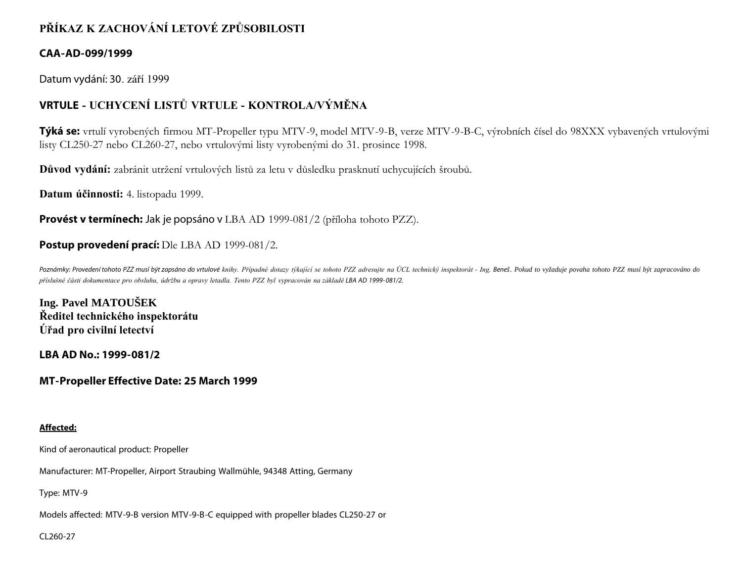# **PŘÍKAZ K ZACHOVÁNÍ LETOVÉ ZPŮSOBILOSTI**

# **CAA-AD-099/1999**

Datum vydání: 30. září 1999

# **VRTULE - UCHYCENÍ LISTŮ VRTULE - KONTROLA/VÝMĚNA**

**Týká se:** vrtulí vyrobených firmou MT-Propeller typu MTV-9, model MTV-9-B, verze MTV-9-B-C, výrobních čísel do 98XXX vybavených vrtulovými listy CL250-27 nebo CL260-27, nebo vrtulovými listy vyrobenými do 31. prosince 1998.

**Důvod vydání:** zabránit utržení vrtulových listů za letu v důsledku prasknutí uchycujících šroubů.

**Datum účinnosti:** 4. listopadu 1999.

**Provést v termínech:** Jak je popsáno v LBA AD 1999-081/2 (příloha tohoto PZZ).

# **Postup provedení prací:** Dle LBA AD 1999-081/2.

Poznámky: Provedení tohoto PZZ musí být zapsáno do vrtulové knihy. Případné dotazy týkající se tohoto PZZ adresujte na ÚCL technický inspektorát - Ing. Beneš. Pokud to vyžaduje povaha tohoto PZZ musí být zapracováno do *příslušné části dokumentace pro obsluhu, údržbu a opravy letadla. Tento PZZ byl vypracován na základě LBA AD 1999- 081/2.*

**Ing. Pavel MATOUŠEK Ředitel technického inspektorátu Úřad pro civilní letectví**

**LBA AD No.: 1999-081/2**

# **MT-Propeller Effective Date: 25 March 1999**

## **Affected:**

Kind of aeronautical product: Propeller

Manufacturer: MT-Propeller, Airport Straubing Wallmühle, 94348 Atting, Germany

Type: MTV-9

Models affected: MTV-9-B version MTV-9-B-C equipped with propeller blades CL250-27 or

CL260-27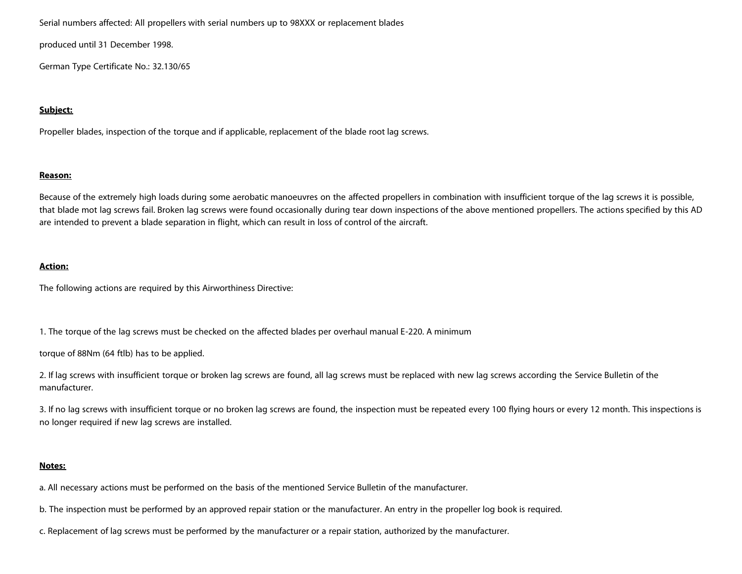Serial numbers affected: All propellers with serial numbers up to 98XXX or replacement blades

produced until 31 December 1998.

German Type Certificate No.: 32.130/65

#### **Subject:**

Propeller blades, inspection of the torque and if applicable, replacement of the blade root lag screws.

#### **Reason:**

Because of the extremely high loads during some aerobatic manoeuvres on the affected propellers in combination with insufficient torque of the lag screws it is possible, that blade mot lag screws fail. Broken lag screws were found occasionally during tear down inspections of the above mentioned propellers. The actions specified by this AD are intended to prevent a blade separation in flight, which can result in loss of control of the aircraft.

#### **Action:**

The following actions are required by this Airworthiness Directive:

1. The torque of the lag screws must be checked on the affected blades per overhaul manual E-220. A minimum

torque of 88Nm (64 ftlb) has to be applied.

2. If lag screws with insufficient torque or broken lag screws are found, all lag screws must be replaced with new lag screws according the Service Bulletin of the manufacturer.

3. If no lag screws with insufficient torque or no broken lag screws are found, the inspection must be repeated every 100 flying hours or every 12 month. This inspections is no longer required if new lag screws are installed.

#### **Notes:**

a. All necessary actions must be performed on the basis of the mentioned Service Bulletin of the manufacturer.

b. The inspection must be performed by an approved repair station or the manufacturer. An entry in the propeller log book is required.

c. Replacement of lag screws must be performed by the manufacturer or a repair station, authorized by the manufacturer.